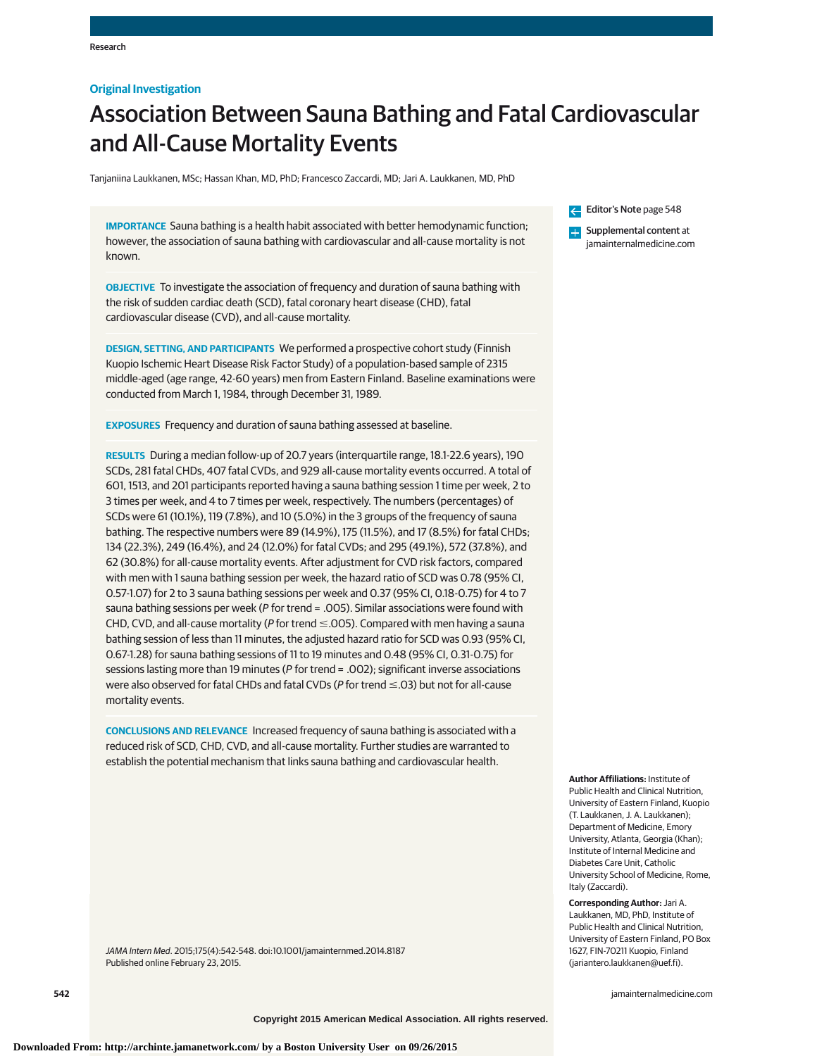## **Original Investigation**

# Association Between Sauna Bathing and Fatal Cardiovascular and All-Cause Mortality Events

Tanjaniina Laukkanen, MSc; Hassan Khan, MD, PhD; Francesco Zaccardi, MD; Jari A. Laukkanen, MD, PhD

**IMPORTANCE** Sauna bathing is a health habit associated with better hemodynamic function; however, the association of sauna bathing with cardiovascular and all-cause mortality is not known.

**OBJECTIVE** To investigate the association of frequency and duration of sauna bathing with the risk of sudden cardiac death (SCD), fatal coronary heart disease (CHD), fatal cardiovascular disease (CVD), and all-cause mortality.

**DESIGN, SETTING, AND PARTICIPANTS** We performed a prospective cohort study (Finnish Kuopio Ischemic Heart Disease Risk Factor Study) of a population-based sample of 2315 middle-aged (age range, 42-60 years) men from Eastern Finland. Baseline examinations were conducted from March 1, 1984, through December 31, 1989.

**EXPOSURES** Frequency and duration of sauna bathing assessed at baseline.

**RESULTS** During a median follow-up of 20.7 years (interquartile range, 18.1-22.6 years), 190 SCDs, 281 fatal CHDs, 407 fatal CVDs, and 929 all-cause mortality events occurred. A total of 601, 1513, and 201 participants reported having a sauna bathing session 1 time per week, 2 to 3 times per week, and 4 to 7 times per week, respectively. The numbers (percentages) of SCDs were 61 (10.1%), 119 (7.8%), and 10 (5.0%) in the 3 groups of the frequency of sauna bathing. The respective numbers were 89 (14.9%), 175 (11.5%), and 17 (8.5%) for fatal CHDs; 134 (22.3%), 249 (16.4%), and 24 (12.0%) for fatal CVDs; and 295 (49.1%), 572 (37.8%), and 62 (30.8%) for all-cause mortality events. After adjustment for CVD risk factors, compared with men with 1 sauna bathing session per week, the hazard ratio of SCD was 0.78 (95% CI, 0.57-1.07) for 2 to 3 sauna bathing sessions per week and 0.37 (95% CI, 0.18-0.75) for 4 to 7 sauna bathing sessions per week (P for trend = .005). Similar associations were found with CHD, CVD, and all-cause mortality (P for trend  $\leq$  005). Compared with men having a sauna bathing session of less than 11 minutes, the adjusted hazard ratio for SCD was 0.93 (95% CI, 0.67-1.28) for sauna bathing sessions of 11 to 19 minutes and 0.48 (95% CI, 0.31-0.75) for sessions lasting more than 19 minutes (P for trend = .002); significant inverse associations were also observed for fatal CHDs and fatal CVDs (P for trend  $\leq$  .03) but not for all-cause mortality events.

**CONCLUSIONS AND RELEVANCE** Increased frequency of sauna bathing is associated with a reduced risk of SCD, CHD, CVD, and all-cause mortality. Further studies are warranted to establish the potential mechanism that links sauna bathing and cardiovascular health.

JAMA Intern Med. 2015;175(4):542-548. doi:10.1001/jamainternmed.2014.8187 Published online February 23, 2015.

Editor's Note page 548

**Examplemental content at** jamainternalmedicine.com

**Author Affiliations:** Institute of Public Health and Clinical Nutrition,

University of Eastern Finland, Kuopio (T. Laukkanen, J. A. Laukkanen); Department of Medicine, Emory University, Atlanta, Georgia (Khan); Institute of Internal Medicine and Diabetes Care Unit, Catholic University School of Medicine, Rome, Italy (Zaccardi).

**Corresponding Author:** Jari A. Laukkanen, MD, PhD, Institute of Public Health and Clinical Nutrition, University of Eastern Finland, PO Box 1627, FIN-70211 Kuopio, Finland (jariantero.laukkanen@uef.fi).

**542 (Reprinted)** in the printed of the printed of the printed) in the printed of the printed of the printed of the printed of the printed of the printed of the printed of the printed of the printed of the printed of the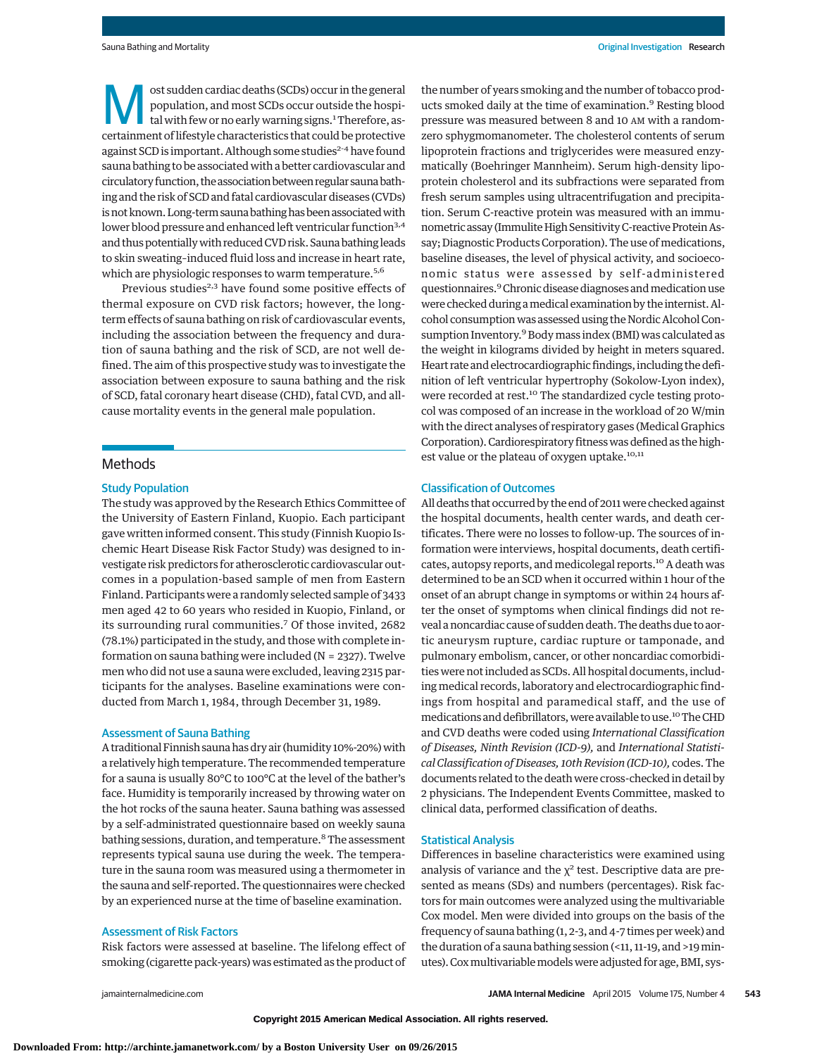**Most sudden cardiac deaths (SCDs) occur in the general**<br>population, and most SCDs occur outside the hospital<br>tal with few or no early warning signs.<sup>1</sup> Therefore, as-<br>containment of lifectule characteristics that could be population, and most SCDs occur outside the hospicertainment of lifestyle characteristics that could be protective against SCD is important. Although some studies<sup>2-4</sup> have found sauna bathing to be associated with a better cardiovascular and circulatory function, the association between regular sauna bathing and the risk of SCD and fatal cardiovascular diseases (CVDs) is not known. Long-term sauna bathing has been associated with lower blood pressure and enhanced left ventricular function<sup>3,4</sup> and thus potentiallywith reduced CVD risk. Sauna bathing leads to skin sweating–induced fluid loss and increase in heart rate, which are physiologic responses to warm temperature.<sup>5,6</sup>

Previous studies<sup>2,3</sup> have found some positive effects of thermal exposure on CVD risk factors; however, the longterm effects of sauna bathing on risk of cardiovascular events, including the association between the frequency and duration of sauna bathing and the risk of SCD, are not well defined. The aim of this prospective study was to investigate the association between exposure to sauna bathing and the risk of SCD, fatal coronary heart disease (CHD), fatal CVD, and allcause mortality events in the general male population.

## Methods

#### Study Population

The study was approved by the Research Ethics Committee of the University of Eastern Finland, Kuopio. Each participant gave written informed consent. This study (Finnish Kuopio Ischemic Heart Disease Risk Factor Study) was designed to investigate risk predictors for atherosclerotic cardiovascular outcomes in a population-based sample of men from Eastern Finland. Participants were a randomly selected sample of 3433 men aged 42 to 60 years who resided in Kuopio, Finland, or its surrounding rural communities.<sup>7</sup> Of those invited, 2682 (78.1%) participated in the study, and those with complete information on sauna bathing were included (N = 2327). Twelve men who did not use a sauna were excluded, leaving 2315 participants for the analyses. Baseline examinations were conducted from March 1, 1984, through December 31, 1989.

## Assessment of Sauna Bathing

A traditional Finnish sauna has dry air (humidity 10%-20%) with a relatively high temperature. The recommended temperature for a sauna is usually 80°C to 100°C at the level of the bather's face. Humidity is temporarily increased by throwing water on the hot rocks of the sauna heater. Sauna bathing was assessed by a self-administrated questionnaire based on weekly sauna bathing sessions, duration, and temperature.<sup>8</sup> The assessment represents typical sauna use during the week. The temperature in the sauna room was measured using a thermometer in the sauna and self-reported. The questionnaires were checked by an experienced nurse at the time of baseline examination.

#### Assessment of Risk Factors

Risk factors were assessed at baseline. The lifelong effect of smoking (cigarette pack-years) was estimated as the product of

Sauna Bathing and Mortality **No. 2008** Critical Investigation Research

the number of years smoking and the number of tobacco products smoked daily at the time of examination.9 Resting blood pressure was measured between 8 and 10 AM with a randomzero sphygmomanometer. The cholesterol contents of serum lipoprotein fractions and triglycerides were measured enzymatically (Boehringer Mannheim). Serum high-density lipoprotein cholesterol and its subfractions were separated from fresh serum samples using ultracentrifugation and precipitation. Serum C-reactive protein was measured with an immunometric assay (Immulite High Sensitivity C-reactive Protein Assay; Diagnostic Products Corporation). The use of medications, baseline diseases, the level of physical activity, and socioeconomic status were assessed by self-administered questionnaires.9Chronic disease diagnoses andmedication use were checked during amedical examination by the internist. Alcohol consumption was assessed using the Nordic Alcohol Consumption Inventory.<sup>9</sup> Body mass index (BMI) was calculated as the weight in kilograms divided by height in meters squared. Heart rate and electrocardiographic findings, including the definition of left ventricular hypertrophy (Sokolow-Lyon index), were recorded at rest.<sup>10</sup> The standardized cycle testing protocol was composed of an increase in the workload of 20 W/min with the direct analyses of respiratory gases (Medical Graphics Corporation). Cardiorespiratory fitnesswas defined as the highest value or the plateau of oxygen uptake.<sup>10,11</sup>

#### Classification of Outcomes

All deaths that occurred by the end of 2011 were checked against the hospital documents, health center wards, and death certificates. There were no losses to follow-up. The sources of information were interviews, hospital documents, death certificates, autopsy reports, and medicolegal reports.10 A death was determined to be an SCD when it occurred within 1 hour of the onset of an abrupt change in symptoms or within 24 hours after the onset of symptoms when clinical findings did not reveal a noncardiac cause of sudden death. The deaths due to aortic aneurysm rupture, cardiac rupture or tamponade, and pulmonary embolism, cancer, or other noncardiac comorbidities were not included as SCDs. All hospital documents, including medical records, laboratory and electrocardiographic findings from hospital and paramedical staff, and the use of medications and defibrillators, were available to use.<sup>10</sup> The CHD and CVD deaths were coded using *International Classification of Diseases, Ninth Revision (ICD-9),* and *International Statistical Classification of Diseases, 10th Revision (ICD-10),* codes. The documents related to the death were cross-checked in detail by 2 physicians. The Independent Events Committee, masked to clinical data, performed classification of deaths.

#### Statistical Analysis

Differences in baseline characteristics were examined using analysis of variance and the  $\chi^2$  test. Descriptive data are presented as means (SDs) and numbers (percentages). Risk factors for main outcomes were analyzed using the multivariable Cox model. Men were divided into groups on the basis of the frequency of sauna bathing (1, 2-3, and 4-7 times per week) and the duration of a sauna bathing session (<11, 11-19, and >19minutes). Coxmultivariablemodelswere adjusted for age, BMI, sys-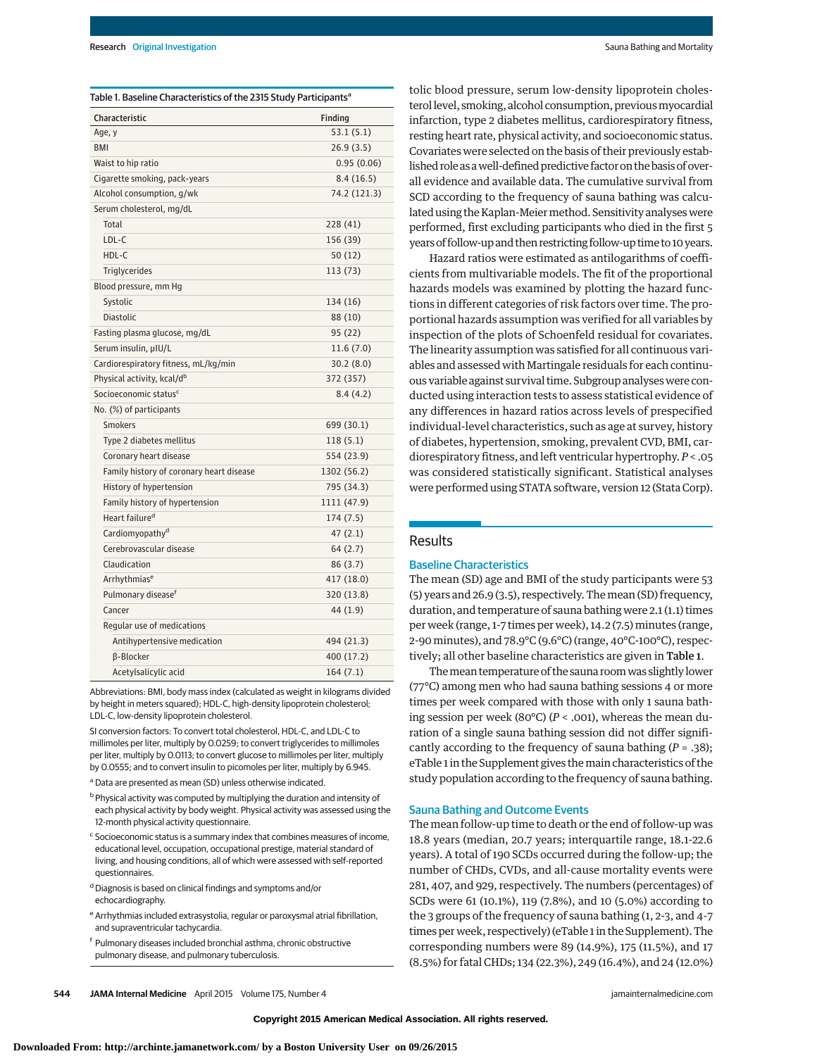| Characteristic                           | Finding      |
|------------------------------------------|--------------|
| Age, y                                   | 53.1(5.1)    |
| <b>BMI</b>                               | 26.9(3.5)    |
| Waist to hip ratio                       | 0.95(0.06)   |
| Cigarette smoking, pack-years            | 8.4(16.5)    |
| Alcohol consumption, g/wk                | 74.2 (121.3) |
| Serum cholesterol, mg/dL                 |              |
| Total                                    | 228 (41)     |
| LDL-C                                    | 156 (39)     |
| HDL-C                                    | 50(12)       |
| Triglycerides                            | 113 (73)     |
| Blood pressure, mm Hg                    |              |
| Systolic                                 | 134 (16)     |
| <b>Diastolic</b>                         | 88 (10)      |
| Fasting plasma glucose, mg/dL            | 95(22)       |
| Serum insulin, µIU/L                     | 11.6(7.0)    |
| Cardiorespiratory fitness, mL/kg/min     | 30.2(8.0)    |
| Physical activity, kcal/d <sup>b</sup>   | 372 (357)    |
| Socioeconomic status <sup>c</sup>        | 8.4(4.2)     |
| No. (%) of participants                  |              |
| <b>Smokers</b>                           | 699 (30.1)   |
| Type 2 diabetes mellitus                 | 118(5.1)     |
| Coronary heart disease                   | 554 (23.9)   |
| Family history of coronary heart disease | 1302 (56.2)  |
| History of hypertension                  | 795 (34.3)   |
| Family history of hypertension           | 1111 (47.9)  |
| Heart failure <sup>d</sup>               | 174 (7.5)    |
| Cardiomyopathy <sup>d</sup>              | 47(2.1)      |
| Cerebrovascular disease                  | 64 (2.7)     |
| Claudication                             | 86(3.7)      |
| Arrhythmias <sup>e</sup>                 | 417 (18.0)   |
| Pulmonary disease <sup>f</sup>           | 320 (13.8)   |
| Cancer                                   | 44 (1.9)     |
| Regular use of medications               |              |
| Antihypertensive medication              | 494 (21.3)   |
| <b>B-Blocker</b>                         | 400 (17.2)   |
| Acetylsalicylic acid                     | 164(7.1)     |

Abbreviations: BMI, body mass index (calculated as weight in kilograms divided by height in meters squared); HDL-C, high-density lipoprotein cholesterol; LDL-C, low-density lipoprotein cholesterol.

SI conversion factors: To convert total cholesterol, HDL-C, and LDL-C to millimoles per liter, multiply by 0.0259; to convert triglycerides to millimoles per liter, multiply by 0.0113; to convert glucose to millimoles per liter, multiply by 0.0555; and to convert insulin to picomoles per liter, multiply by 6.945.

- <sup>a</sup> Data are presented as mean (SD) unless otherwise indicated.
- b Physical activity was computed by multiplying the duration and intensity of each physical activity by body weight. Physical activity was assessed using the 12-month physical activity questionnaire.
- <sup>c</sup> Socioeconomic status is a summary index that combines measures of income, educational level, occupation, occupational prestige, material standard of living, and housing conditions, all of which were assessed with self-reported questionnaires.
- d Diagnosis is based on clinical findings and symptoms and/or echocardiography.
- <sup>e</sup> Arrhythmias included extrasystolia, regular or paroxysmal atrial fibrillation, and supraventricular tachycardia.
- <sup>f</sup> Pulmonary diseases included bronchial asthma, chronic obstructive pulmonary disease, and pulmonary tuberculosis.

tolic blood pressure, serum low-density lipoprotein cholesterol level, smoking, alcohol consumption, previous myocardial infarction, type 2 diabetes mellitus, cardiorespiratory fitness, resting heart rate, physical activity, and socioeconomic status. Covariates were selected on the basis of their previously established role as a well-defined predictive factor on the basis of overall evidence and available data. The cumulative survival from SCD according to the frequency of sauna bathing was calculated using the Kaplan-Meier method. Sensitivity analyses were performed, first excluding participants who died in the first 5 years of follow-up and then restricting follow-up time to 10 years.

Hazard ratios were estimated as antilogarithms of coefficients from multivariable models. The fit of the proportional hazards models was examined by plotting the hazard functions in different categories of risk factors over time. The proportional hazards assumption was verified for all variables by inspection of the plots of Schoenfeld residual for covariates. The linearity assumption was satisfied for all continuous variables and assessed with Martingale residuals for each continuous variable against survival time. Subgroup analyses were conducted using interaction tests to assess statistical evidence of any differences in hazard ratios across levels of prespecified individual-level characteristics, such as age at survey, history of diabetes, hypertension, smoking, prevalent CVD, BMI, cardiorespiratory fitness, and left ventricular hypertrophy. *P* < .05 was considered statistically significant. Statistical analyses were performed using STATA software, version 12 (Stata Corp).

## Results

## Baseline Characteristics

The mean (SD) age and BMI of the study participants were 53 (5) years and 26.9 (3.5), respectively. The mean (SD) frequency, duration, and temperature of sauna bathing were 2.1 (1.1) times per week (range, 1-7 times per week), 14.2 (7.5) minutes (range, 2-90 minutes), and 78.9°C (9.6°C) (range, 40°C-100°C), respectively; all other baseline characteristics are given in Table 1.

The mean temperature of the sauna room was slightly lower (77°C) among men who had sauna bathing sessions 4 or more times per week compared with those with only 1 sauna bathing session per week (80°C) (*P* < .001), whereas the mean duration of a single sauna bathing session did not differ significantly according to the frequency of sauna bathing (*P* = .38); eTable 1 in the Supplement gives themain characteristics of the study population according to the frequency of sauna bathing.

#### Sauna Bathing and Outcome Events

The mean follow-up time to death or the end of follow-up was 18.8 years (median, 20.7 years; interquartile range, 18.1-22.6 years). A total of 190 SCDs occurred during the follow-up; the number of CHDs, CVDs, and all-cause mortality events were 281, 407, and 929, respectively. The numbers (percentages) of SCDs were 61 (10.1%), 119 (7.8%), and 10 (5.0%) according to the 3 groups of the frequency of sauna bathing (1, 2-3, and 4-7 times per week, respectively) (eTable 1 in the Supplement). The corresponding numbers were 89 (14.9%), 175 (11.5%), and 17 (8.5%) for fatal CHDs; 134 (22.3%), 249 (16.4%), and 24 (12.0%)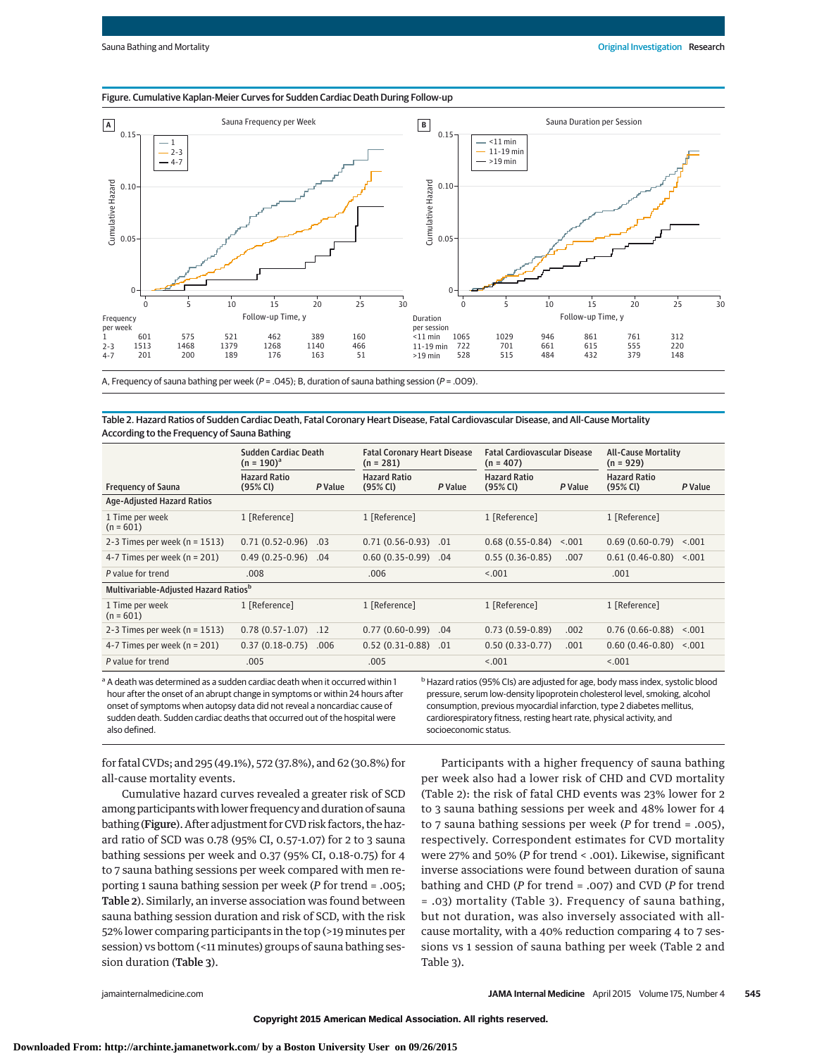#### Figure. Cumulative Kaplan-Meier Curves for Sudden Cardiac Death During Follow-up



A, Frequency of sauna bathing per week ( $P = .045$ ); B, duration of sauna bathing session ( $P = .009$ ).

#### Table 2. Hazard Ratios of Sudden Cardiac Death, Fatal Coronary Heart Disease, Fatal Cardiovascular Disease, and All-Cause Mortality According to the Frequency of Sauna Bathing

|                                                   | Sudden Cardiac Death<br>$(n = 190)^{a}$     |         | <b>Fatal Coronary Heart Disease</b><br>$(n = 281)$ |         | <b>Fatal Cardiovascular Disease</b><br>$(n = 407)$ |         | <b>All-Cause Mortality</b><br>$(n = 929)$   |         |
|---------------------------------------------------|---------------------------------------------|---------|----------------------------------------------------|---------|----------------------------------------------------|---------|---------------------------------------------|---------|
| <b>Frequency of Sauna</b>                         | <b>Hazard Ratio</b><br>$(95% \, \text{Cl})$ | P Value | <b>Hazard Ratio</b><br>$(95% \, \text{Cl})$        | P Value | <b>Hazard Ratio</b><br>$(95% \, \text{Cl})$        | P Value | <b>Hazard Ratio</b><br>$(95% \, \text{Cl})$ | P Value |
| <b>Age-Adjusted Hazard Ratios</b>                 |                                             |         |                                                    |         |                                                    |         |                                             |         |
| 1 Time per week<br>$(n = 601)$                    | 1 [Reference]                               |         | 1 [Reference]                                      |         | 1 [Reference]                                      |         | 1 [Reference]                               |         |
| 2-3 Times per week ( $n = 1513$ )                 | $0.71(0.52-0.96)$                           | .03     | $0.71(0.56-0.93)$                                  | .01     | $0.68(0.55-0.84)$                                  | < 0.001 | $0.69(0.60-0.79)$ <.001                     |         |
| 4-7 Times per week ( $n = 201$ )                  | $0.49(0.25-0.96)$ .04                       |         | $0.60(0.35-0.99)$                                  | .04     | $0.55(0.36-0.85)$                                  | .007    | $0.61(0.46-0.80)$ <.001                     |         |
| P value for trend                                 | .008                                        |         | .006                                               |         | < 0.001                                            |         | .001                                        |         |
| Multivariable-Adjusted Hazard Ratios <sup>b</sup> |                                             |         |                                                    |         |                                                    |         |                                             |         |
| 1 Time per week<br>$(n = 601)$                    | 1 [Reference]                               |         | 1 [Reference]                                      |         | 1 [Reference]                                      |         | 1 [Reference]                               |         |
| 2-3 Times per week ( $n = 1513$ )                 | $0.78(0.57-1.07)$ .12                       |         | $0.77(0.60-0.99)$                                  | .04     | $0.73(0.59-0.89)$                                  | .002    | $0.76(0.66-0.88)$ <.001                     |         |
| 4-7 Times per week ( $n = 201$ )                  | $0.37(0.18-0.75)$ .006                      |         | $0.52(0.31-0.88)$                                  | .01     | $0.50(0.33-0.77)$                                  | .001    | $0.60(0.46-0.80)$ < 0.01                    |         |
| P value for trend                                 | .005                                        |         | .005                                               |         | < 0.001                                            |         | < 0.01                                      |         |

a A death was determined as a sudden cardiac death when it occurred within 1 hour after the onset of an abrupt change in symptoms or within 24 hours after onset of symptoms when autopsy data did not reveal a noncardiac cause of sudden death. Sudden cardiac deaths that occurred out of the hospital were also defined.

<sup>b</sup> Hazard ratios (95% CIs) are adjusted for age, body mass index, systolic blood pressure, serum low-density lipoprotein cholesterol level, smoking, alcohol consumption, previous myocardial infarction, type 2 diabetes mellitus, cardiorespiratory fitness, resting heart rate, physical activity, and socioeconomic status.

for fatal CVDs; and 295 (49.1%), 572 (37.8%), and 62 (30.8%) for all-cause mortality events.

Cumulative hazard curves revealed a greater risk of SCD among participants with lower frequency and duration of sauna bathing (Figure). After adjustment for CVD risk factors, the hazard ratio of SCD was 0.78 (95% CI, 0.57-1.07) for 2 to 3 sauna bathing sessions per week and 0.37 (95% CI, 0.18-0.75) for 4 to 7 sauna bathing sessions per week compared with men reporting 1 sauna bathing session per week (*P* for trend = .005; Table 2). Similarly, an inverse association was found between sauna bathing session duration and risk of SCD, with the risk 52% lower comparing participants in the top (>19 minutes per session) vs bottom (<11 minutes) groups of sauna bathing session duration (Table 3).

Participants with a higher frequency of sauna bathing per week also had a lower risk of CHD and CVD mortality (Table 2): the risk of fatal CHD events was 23% lower for 2 to 3 sauna bathing sessions per week and 48% lower for 4 to 7 sauna bathing sessions per week (*P* for trend = .005), respectively. Correspondent estimates for CVD mortality were 27% and 50% (*P* for trend < .001). Likewise, significant inverse associations were found between duration of sauna bathing and CHD (*P* for trend = .007) and CVD (*P* for trend = .03) mortality (Table 3). Frequency of sauna bathing, but not duration, was also inversely associated with allcause mortality, with a 40% reduction comparing 4 to 7 sessions vs 1 session of sauna bathing per week (Table 2 and Table 3).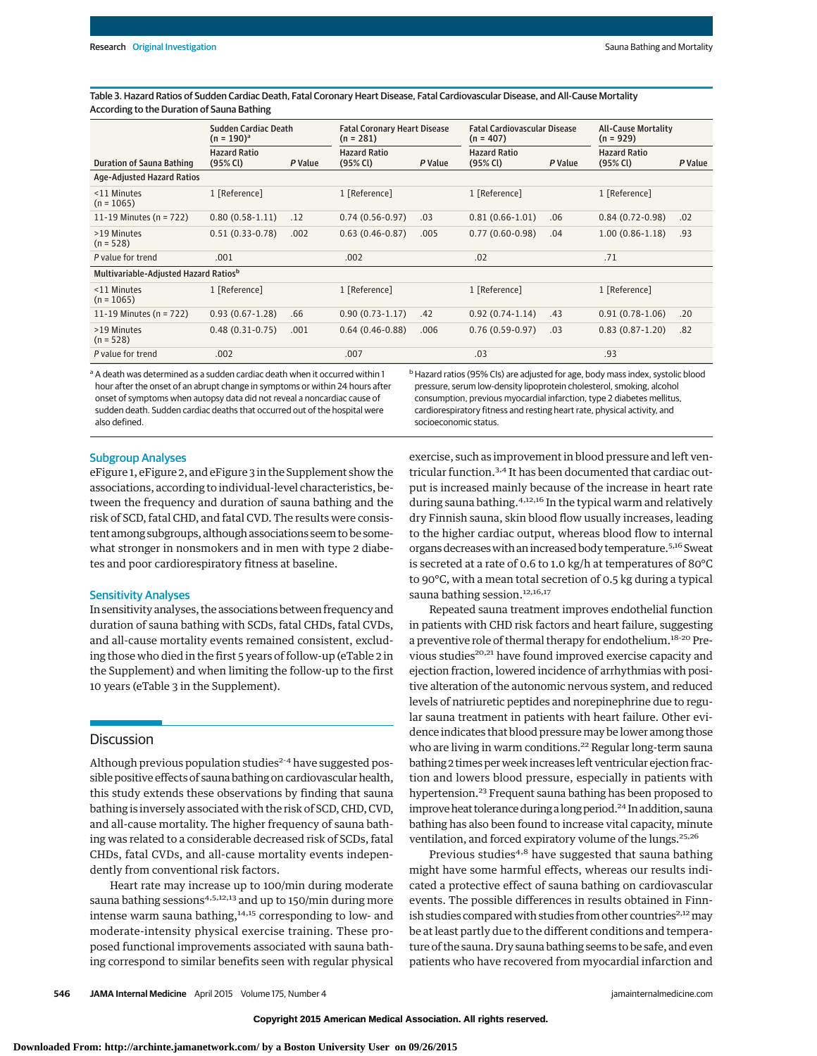Table 3. Hazard Ratios of Sudden Cardiac Death, Fatal Coronary Heart Disease, Fatal Cardiovascular Disease, and All-Cause Mortality According to the Duration of Sauna Bathing

|                                                   | Sudden Cardiac Death                   | <b>Fatal Coronary Heart Disease</b> |                                    |         | <b>Fatal Cardiovascular Disease</b> |         | <b>All-Cause Mortality</b>         |         |
|---------------------------------------------------|----------------------------------------|-------------------------------------|------------------------------------|---------|-------------------------------------|---------|------------------------------------|---------|
|                                                   | $(n = 190)^{a}$<br><b>Hazard Ratio</b> |                                     | $(n = 281)$<br><b>Hazard Ratio</b> |         | $(n = 407)$<br><b>Hazard Ratio</b>  |         | $(n = 929)$<br><b>Hazard Ratio</b> |         |
| <b>Duration of Sauna Bathing</b>                  | $(95% \, \text{Cl})$                   | P Value                             | $(95% \, \text{Cl})$               | P Value | $(95% \, \text{Cl})$                | P Value | $(95% \, \text{Cl})$               | P Value |
| Age-Adjusted Hazard Ratios                        |                                        |                                     |                                    |         |                                     |         |                                    |         |
| <11 Minutes<br>$(n = 1065)$                       | 1 [Reference]                          |                                     | 1 [Reference]                      |         | 1 [Reference]                       |         | 1 [Reference]                      |         |
| 11-19 Minutes (n = 722)                           | $0.80(0.58-1.11)$                      | .12                                 | $0.74(0.56-0.97)$                  | .03     | $0.81(0.66-1.01)$                   | .06     | $0.84(0.72-0.98)$                  | .02     |
| >19 Minutes<br>$(n = 528)$                        | $0.51(0.33-0.78)$                      | .002                                | $0.63(0.46-0.87)$                  | .005    | $0.77(0.60-0.98)$                   | .04     | $1.00(0.86 - 1.18)$                | .93     |
| P value for trend                                 | .001                                   |                                     | .002                               |         | .02                                 |         | .71                                |         |
| Multivariable-Adjusted Hazard Ratios <sup>b</sup> |                                        |                                     |                                    |         |                                     |         |                                    |         |
| <11 Minutes<br>$(n = 1065)$                       | 1 [Reference]                          |                                     | 1 [Reference]                      |         | 1 [Reference]                       |         | 1 [Reference]                      |         |
| 11-19 Minutes (n = $722$ )                        | $0.93(0.67-1.28)$                      | .66                                 | $0.90(0.73-1.17)$                  | .42     | $0.92(0.74-1.14)$                   | .43     | $0.91(0.78-1.06)$                  | .20     |
| >19 Minutes<br>$(n = 528)$                        | $0.48(0.31-0.75)$                      | .001                                | $0.64(0.46-0.88)$                  | .006    | $0.76(0.59-0.97)$                   | .03     | $0.83(0.87 - 1.20)$                | .82     |
| P value for trend                                 | .002                                   |                                     | .007                               |         | .03                                 |         | .93                                |         |

<sup>a</sup> A death was determined as a sudden cardiac death when it occurred within 1 hour after the onset of an abrupt change in symptoms or within 24 hours after onset of symptoms when autopsy data did not reveal a noncardiac cause of sudden death. Sudden cardiac deaths that occurred out of the hospital were also defined.

<sup>b</sup> Hazard ratios (95% CIs) are adjusted for age, body mass index, systolic blood pressure, serum low-density lipoprotein cholesterol, smoking, alcohol consumption, previous myocardial infarction, type 2 diabetes mellitus, cardiorespiratory fitness and resting heart rate, physical activity, and socioeconomic status.

#### Subgroup Analyses

eFigure 1, eFigure 2, and eFigure 3 in the Supplement show the associations, according to individual-level characteristics, between the frequency and duration of sauna bathing and the risk of SCD, fatal CHD, and fatal CVD. The results were consistent among subgroups, although associations seem to be somewhat stronger in nonsmokers and in men with type 2 diabetes and poor cardiorespiratory fitness at baseline.

#### Sensitivity Analyses

In sensitivity analyses, the associations between frequency and duration of sauna bathing with SCDs, fatal CHDs, fatal CVDs, and all-cause mortality events remained consistent, excluding those who died in the first 5 years of follow-up (eTable 2 in the Supplement) and when limiting the follow-up to the first 10 years (eTable 3 in the Supplement).

# **Discussion**

Although previous population studies<sup>2-4</sup> have suggested possible positive effects of sauna bathing on cardiovascular health, this study extends these observations by finding that sauna bathing is inversely associated with the risk of SCD, CHD, CVD, and all-cause mortality. The higher frequency of sauna bathing was related to a considerable decreased risk of SCDs, fatal CHDs, fatal CVDs, and all-cause mortality events independently from conventional risk factors.

Heart rate may increase up to 100/min during moderate sauna bathing sessions<sup>4,5,12,13</sup> and up to 150/min during more intense warm sauna bathing,<sup>14,15</sup> corresponding to low- and moderate-intensity physical exercise training. These proposed functional improvements associated with sauna bathing correspond to similar benefits seen with regular physical

exercise, such as improvement in blood pressure and left ventricular function.3,4 It has been documented that cardiac output is increased mainly because of the increase in heart rate during sauna bathing.<sup>4,12,16</sup> In the typical warm and relatively dry Finnish sauna, skin blood flow usually increases, leading to the higher cardiac output, whereas blood flow to internal organs decreaseswith an increased body temperature.5,16 Sweat is secreted at a rate of 0.6 to 1.0 kg/h at temperatures of 80°C to 90°C, with a mean total secretion of 0.5 kg during a typical sauna bathing session.<sup>12,16,17</sup>

Repeated sauna treatment improves endothelial function in patients with CHD risk factors and heart failure, suggesting a preventive role of thermal therapy for endothelium.18-20 Previous studies<sup>20,21</sup> have found improved exercise capacity and ejection fraction, lowered incidence of arrhythmias with positive alteration of the autonomic nervous system, and reduced levels of natriuretic peptides and norepinephrine due to regular sauna treatment in patients with heart failure. Other evidence indicates that blood pressuremay be lower among those who are living in warm conditions.<sup>22</sup> Regular long-term sauna bathing 2 times per week increases left ventricular ejection fraction and lowers blood pressure, especially in patients with hypertension.<sup>23</sup> Frequent sauna bathing has been proposed to improve heat tolerance during a long period.<sup>24</sup> In addition, sauna bathing has also been found to increase vital capacity, minute ventilation, and forced expiratory volume of the lungs.<sup>25,26</sup>

Previous studies<sup>4,8</sup> have suggested that sauna bathing might have some harmful effects, whereas our results indicated a protective effect of sauna bathing on cardiovascular events. The possible differences in results obtained in Finnish studies compared with studies from other countries<sup>2,12</sup> may be at least partly due to the different conditions and temperature of the sauna. Dry sauna bathing seems to be safe, and even patients who have recovered from myocardial infarction and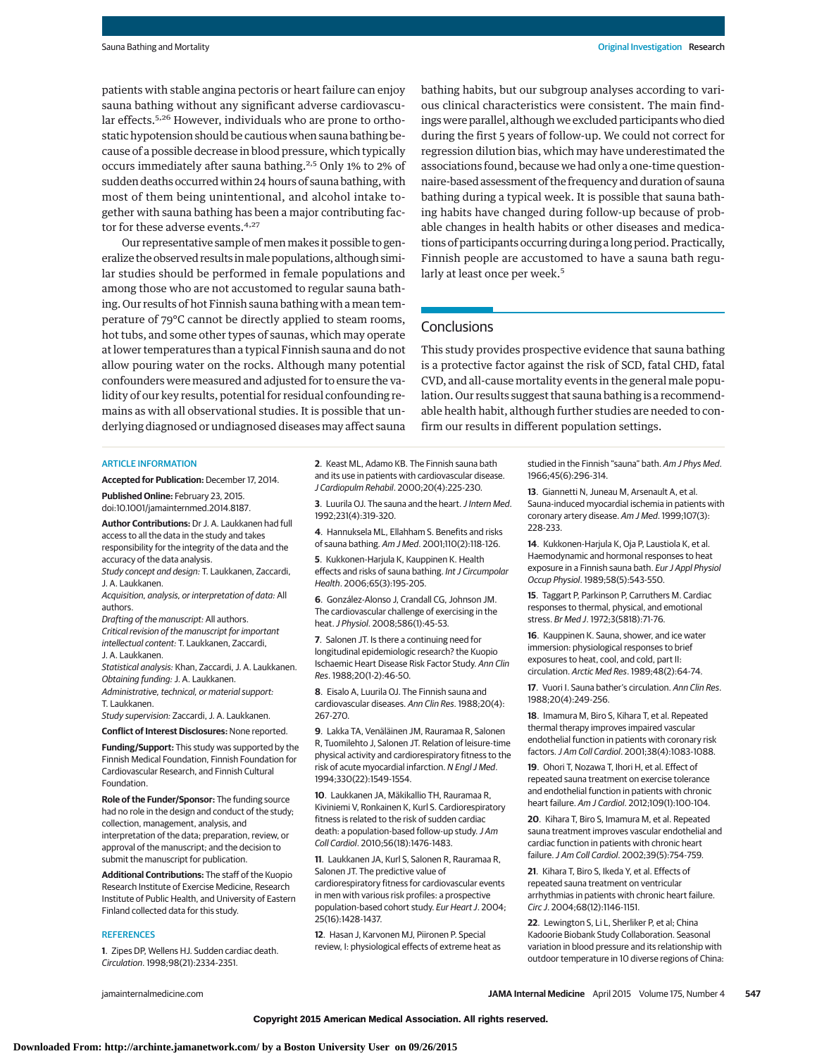patients with stable angina pectoris or heart failure can enjoy sauna bathing without any significant adverse cardiovascular effects.<sup>5,26</sup> However, individuals who are prone to orthostatic hypotension should be cautious when sauna bathing because of a possible decrease in blood pressure, which typically occurs immediately after sauna bathing.<sup>2,5</sup> Only 1% to 2% of sudden deaths occurred within 24 hours of sauna bathing, with most of them being unintentional, and alcohol intake together with sauna bathing has been a major contributing factor for these adverse events.<sup>4,27</sup>

Our representative sample of men makes it possible to generalize the observed results in male populations, although similar studies should be performed in female populations and among those who are not accustomed to regular sauna bathing. Our results of hot Finnish sauna bathing with a mean temperature of 79°C cannot be directly applied to steam rooms, hot tubs, and some other types of saunas, which may operate at lower temperatures than a typical Finnish sauna and do not allow pouring water on the rocks. Although many potential confounders were measured and adjusted for to ensure the validity of our key results, potential for residual confounding remains as with all observational studies. It is possible that underlying diagnosed or undiagnosed diseases may affect sauna

bathing habits, but our subgroup analyses according to various clinical characteristics were consistent. The main findings were parallel, although we excluded participants who died during the first 5 years of follow-up. We could not correct for regression dilution bias, which may have underestimated the associations found, because we had only a one-time questionnaire-based assessment of the frequency and duration of sauna bathing during a typical week. It is possible that sauna bathing habits have changed during follow-up because of probable changes in health habits or other diseases and medications of participants occurring during a long period. Practically, Finnish people are accustomed to have a sauna bath regularly at least once per week.<sup>5</sup>

## **Conclusions**

This study provides prospective evidence that sauna bathing is a protective factor against the risk of SCD, fatal CHD, fatal CVD, and all-cause mortality events in the general male population. Our results suggest that sauna bathing is a recommendable health habit, although further studies are needed to confirm our results in different population settings.

#### ARTICLE INFORMATION

**Accepted for Publication:** December 17, 2014.

**Published Online:** February 23, 2015. doi:10.1001/jamainternmed.2014.8187.

**Author Contributions:** Dr J. A. Laukkanen had full access to all the data in the study and takes responsibility for the integrity of the data and the accuracy of the data analysis.

Study concept and design: T. Laukkanen, Zaccardi, J. A. Laukkanen.

Acquisition, analysis, or interpretation of data: All authors.

Drafting of the manuscript: All authors.

Critical revision of the manuscript for important intellectual content: T. Laukkanen, Zaccardi, J. A. Laukkanen.

Statistical analysis: Khan, Zaccardi, J. A. Laukkanen. Obtaining funding: J. A. Laukkanen.

Administrative, technical, or material support: T. Laukkanen.

Study supervision: Zaccardi, J. A. Laukkanen.

**Conflict of Interest Disclosures:** None reported.

**Funding/Support:** This study was supported by the Finnish Medical Foundation, Finnish Foundation for Cardiovascular Research, and Finnish Cultural Foundation.

**Role of the Funder/Sponsor:** The funding source had no role in the design and conduct of the study; collection, management, analysis, and interpretation of the data; preparation, review, or approval of the manuscript; and the decision to submit the manuscript for publication.

**Additional Contributions:** The staff of the Kuopio Research Institute of Exercise Medicine, Research Institute of Public Health, and University of Eastern Finland collected data for this study.

#### **REFERENCES**

**1**. Zipes DP, Wellens HJ. Sudden cardiac death. Circulation. 1998;98(21):2334-2351.

**2**. Keast ML, Adamo KB. The Finnish sauna bath and its use in patients with cardiovascular disease. J Cardiopulm Rehabil. 2000;20(4):225-230.

**3**. Luurila OJ. The sauna and the heart. *J Intern Med.* 1992;231(4):319-320.

**4**. Hannuksela ML, Ellahham S. Benefits and risks of sauna bathing. Am J Med. 2001;110(2):118-126.

**5**. Kukkonen-Harjula K, Kauppinen K. Health effects and risks of sauna bathing. Int J Circumpolar Health. 2006;65(3):195-205.

**6**. González-Alonso J, Crandall CG, Johnson JM. The cardiovascular challenge of exercising in the heat.J Physiol. 2008;586(1):45-53.

**7**. Salonen JT. Is there a continuing need for longitudinal epidemiologic research? the Kuopio Ischaemic Heart Disease Risk Factor Study. Ann Clin Res. 1988;20(1-2):46-50.

**8**. Eisalo A, Luurila OJ. The Finnish sauna and cardiovascular diseases. Ann Clin Res. 1988;20(4): 267-270.

**9**. Lakka TA, Venäläinen JM, Rauramaa R, Salonen R, Tuomilehto J, Salonen JT. Relation of leisure-time physical activity and cardiorespiratory fitness to the risk of acute myocardial infarction. N Engl J Med. 1994;330(22):1549-1554.

**10**. Laukkanen JA, Mäkikallio TH, Rauramaa R, Kiviniemi V, Ronkainen K, Kurl S. Cardiorespiratory fitness is related to the risk of sudden cardiac death: a population-based follow-up study.J Am Coll Cardiol. 2010;56(18):1476-1483.

**11**. Laukkanen JA, Kurl S, Salonen R, Rauramaa R, Salonen JT. The predictive value of cardiorespiratory fitness for cardiovascular events in men with various risk profiles: a prospective population-based cohort study. Eur Heart J. 2004; 25(16):1428-1437.

**12**. Hasan J, Karvonen MJ, Piironen P. Special review, I: physiological effects of extreme heat as

studied in the Finnish "sauna" bath. Am J Phys Med. 1966;45(6):296-314.

**13**. Giannetti N, Juneau M, Arsenault A, et al. Sauna-induced myocardial ischemia in patients with coronary artery disease. Am J Med. 1999;107(3): 228-233.

**14**. Kukkonen-Harjula K, Oja P, Laustiola K, et al. Haemodynamic and hormonal responses to heat exposure in a Finnish sauna bath. Eur J Appl Physiol Occup Physiol. 1989;58(5):543-550.

**15**. Taggart P, Parkinson P, Carruthers M. Cardiac responses to thermal, physical, and emotional stress. Br Med J. 1972;3(5818):71-76.

**16**. Kauppinen K. Sauna, shower, and ice water immersion: physiological responses to brief exposures to heat, cool, and cold, part II: circulation. Arctic Med Res. 1989;48(2):64-74.

**17**. Vuori I. Sauna bather's circulation. Ann Clin Res. 1988;20(4):249-256.

**18**. Imamura M, Biro S, Kihara T, et al. Repeated thermal therapy improves impaired vascular endothelial function in patients with coronary risk factors.J Am Coll Cardiol. 2001;38(4):1083-1088.

**19**. Ohori T, Nozawa T, Ihori H, et al. Effect of repeated sauna treatment on exercise tolerance and endothelial function in patients with chronic heart failure. Am J Cardiol. 2012;109(1):100-104.

**20**. Kihara T, Biro S, Imamura M, et al. Repeated sauna treatment improves vascular endothelial and cardiac function in patients with chronic heart failure.J Am Coll Cardiol. 2002;39(5):754-759.

**21**. Kihara T, Biro S, Ikeda Y, et al. Effects of repeated sauna treatment on ventricular arrhythmias in patients with chronic heart failure. Circ J. 2004;68(12):1146-1151.

**22**. Lewington S, Li L, Sherliker P, et al; China Kadoorie Biobank Study Collaboration. Seasonal variation in blood pressure and its relationship with outdoor temperature in 10 diverse regions of China: